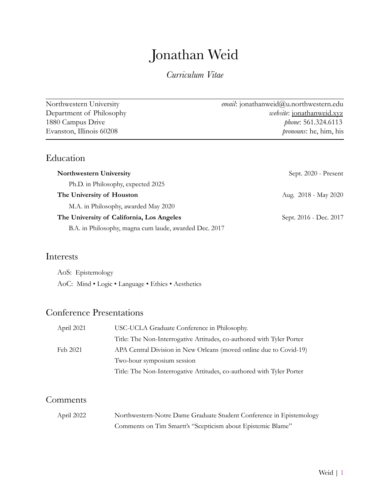# Jonathan Weid

*Curriculum Vitae*

| Northwestern University  | <i>email</i> : jonathanweid@u.northwestern.edu |
|--------------------------|------------------------------------------------|
| Department of Philosophy | <i>website:</i> jonathanweid.xyz               |
| 1880 Campus Drive        | <i>phone</i> : 561.324.6113                    |
| Evanston, Illinois 60208 | <i>pronouns</i> : he, him, his                 |
|                          |                                                |

## Education

| Northwestern University                                | Sept. 2020 - Present   |
|--------------------------------------------------------|------------------------|
| Ph.D. in Philosophy, expected 2025                     |                        |
| The University of Houston                              | Aug. 2018 - May 2020   |
| M.A. in Philosophy, awarded May 2020                   |                        |
| The University of California, Los Angeles              | Sept. 2016 - Dec. 2017 |
| B.A. in Philosophy, magna cum laude, awarded Dec. 2017 |                        |

## Interests

AoS: Epistemology AoC: Mind • Logic • Language • Ethics • Aesthetics

# Conference Presentations

| April 2021 | USC-UCLA Graduate Conference in Philosophy.                           |
|------------|-----------------------------------------------------------------------|
|            | Title: The Non-Interrogative Attitudes, co-authored with Tyler Porter |
| Feb 2021   | APA Central Division in New Orleans (moved online due to Covid-19)    |
|            | Two-hour symposium session                                            |
|            | Title: The Non-Interrogative Attitudes, co-authored with Tyler Porter |

## Comments

| April 2022 | Northwestern-Notre Dame Graduate Student Conference in Epistemology |
|------------|---------------------------------------------------------------------|
|            | Comments on Tim Smartt's "Scepticism about Epistemic Blame"         |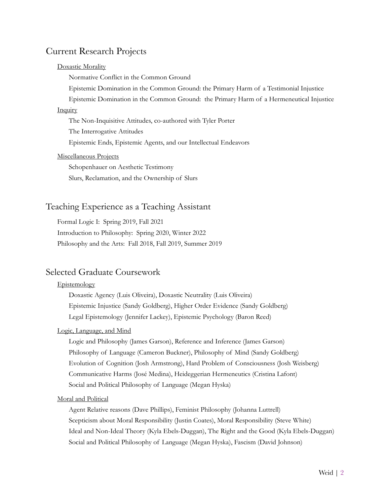## Current Research Projects

#### Doxastic Morality

Normative Conflict in the Common Ground

Epistemic Domination in the Common Ground: the Primary Harm of a Testimonial Injustice

Epistemic Domination in the Common Ground: the Primary Harm of a Hermeneutical Injustice

#### **Inquiry**

The Non-Inquisitive Attitudes, co-authored with Tyler Porter The Interrogative Attitudes Epistemic Ends, Epistemic Agents, and our Intellectual Endeavors

#### Miscellaneous Projects

Schopenhauer on Aesthetic Testimony Slurs, Reclamation, and the Ownership of Slurs

## Teaching Experience as a Teaching Assistant

Formal Logic I: Spring 2019, Fall 2021 Introduction to Philosophy: Spring 2020, Winter 2022 Philosophy and the Arts: Fall 2018, Fall 2019, Summer 2019

## Selected Graduate Coursework

#### **Epistemology**

Doxastic Agency (Luis Oliveira), Doxastic Neutrality (Luis Oliveira) Epistemic Injustice (Sandy Goldberg), Higher Order Evidence (Sandy Goldberg) Legal Epistemology (Jennifer Lackey), Epistemic Psychology (Baron Reed)

#### Logic, Language, and Mind

Logic and Philosophy (James Garson), Reference and Inference (James Garson) Philosophy of Language (Cameron Buckner), Philosophy of Mind (Sandy Goldberg) Evolution of Cognition (Josh Armstrong), Hard Problem of Consciousness (Josh Weisberg) Communicative Harms (José Medina), Heideggerian Hermeneutics (Cristina Lafont) Social and Political Philosophy of Language (Megan Hyska)

#### Moral and Political

Agent Relative reasons (Dave Phillips), Feminist Philosophy (Johanna Luttrell) Scepticism about Moral Responsibility (Justin Coates), Moral Responsibility (Steve White) Ideal and Non-Ideal Theory (Kyla Ebels-Duggan), The Right and the Good (Kyla Ebels-Duggan) Social and Political Philosophy of Language (Megan Hyska), Fascism (David Johnson)